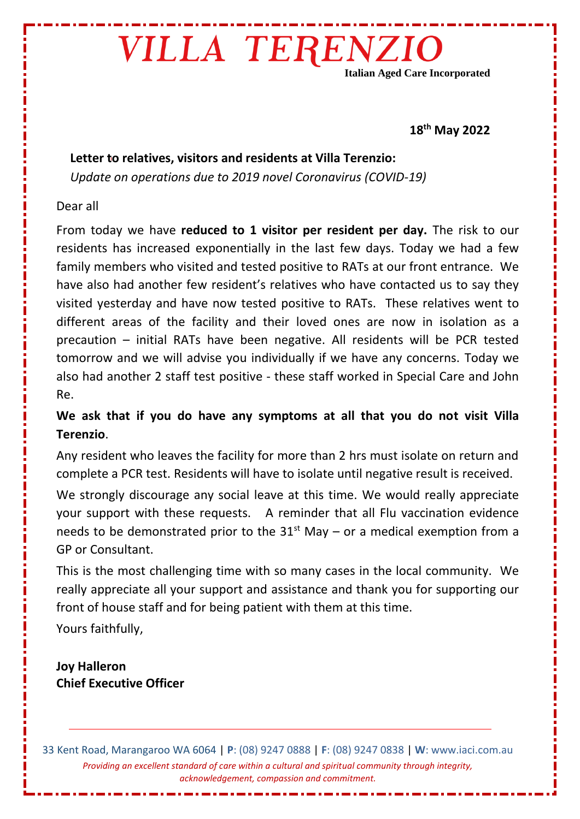## VILLA TERENZIO

**Italian Aged Care Incorporated**

#### **18th May 2022**

### **Letter to relatives, visitors and residents at Villa Terenzio:**

*Update on operations due to 2019 novel Coronavirus (COVID-19)* 

### Dear all

From today we have **reduced to 1 visitor per resident per day.** The risk to our residents has increased exponentially in the last few days. Today we had a few family members who visited and tested positive to RATs at our front entrance. We have also had another few resident's relatives who have contacted us to say they visited yesterday and have now tested positive to RATs. These relatives went to different areas of the facility and their loved ones are now in isolation as a precaution – initial RATs have been negative. All residents will be PCR tested tomorrow and we will advise you individually if we have any concerns. Today we also had another 2 staff test positive - these staff worked in Special Care and John Re.

### **We ask that if you do have any symptoms at all that you do not visit Villa Terenzio**.

Any resident who leaves the facility for more than 2 hrs must isolate on return and complete a PCR test. Residents will have to isolate until negative result is received.

We strongly discourage any social leave at this time. We would really appreciate your support with these requests. A reminder that all Flu vaccination evidence needs to be demonstrated prior to the  $31<sup>st</sup>$  May – or a medical exemption from a GP or Consultant.

This is the most challenging time with so many cases in the local community. We really appreciate all your support and assistance and thank you for supporting our front of house staff and for being patient with them at this time.

Yours faithfully,

**Joy Halleron Chief Executive Officer**

33 Kent Road, Marangaroo WA 6064 | **P**: (08) 9247 0888 | **F**: (08) 9247 0838 | **W**: www.iaci.com.au *Providing an excellent standard of care within a cultural and spiritual community through integrity, acknowledgement, compassion and commitment.*